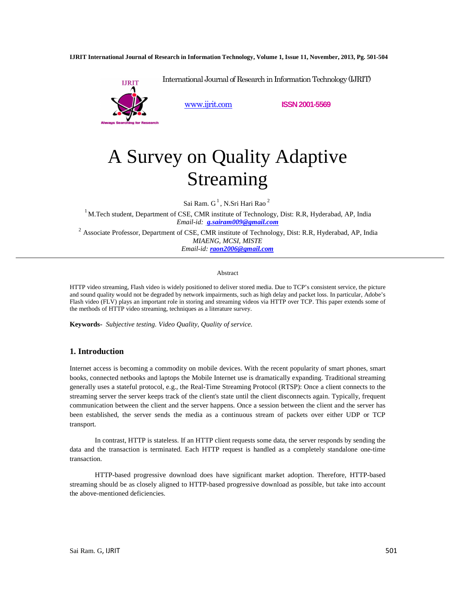**IJRIT International Journal of Research in Information Technology, Volume 1, Issue 11, November, 2013, Pg. 501-504**



International Journal of Research in Information Technology (IJRIT)

www.ijrit.com **ISSN 2001-5569**

# A Survey on Quality Adaptive Streaming

Sai Ram.  $G^1$ , N.Sri Hari Rao  $^2$ 

 $1$ M.Tech student, Department of CSE, CMR institute of Technology, Dist: R.R, Hyderabad, AP, India *Email-id: g.sairam009@gmail.com*

 $2$  Associate Professor, Department of CSE, CMR institute of Technology, Dist: R.R, Hyderabad, AP, India *MIAENG, MCSI, MISTE Email-id: raon2006@gmail.com* 

#### Abstract

HTTP video streaming, Flash video is widely positioned to deliver stored media. Due to TCP's consistent service, the picture and sound quality would not be degraded by network impairments, such as high delay and packet loss. In particular, Adobe's Flash video (FLV) plays an important role in storing and streaming videos via HTTP over TCP. This paper extends some of the methods of HTTP video streaming, techniques as a literature survey.

**Keywords-** *Subjective testing. Video Quality, Quality of service.* 

## **1. Introduction**

Internet access is becoming a commodity on mobile devices. With the recent popularity of smart phones, smart books, connected netbooks and laptops the Mobile Internet use is dramatically expanding. Traditional streaming generally uses a stateful protocol, e.g., the Real-Time Streaming Protocol (RTSP): Once a client connects to the streaming server the server keeps track of the client's state until the client disconnects again. Typically, frequent communication between the client and the server happens. Once a session between the client and the server has been established, the server sends the media as a continuous stream of packets over either UDP or TCP transport.

In contrast, HTTP is stateless. If an HTTP client requests some data, the server responds by sending the data and the transaction is terminated. Each HTTP request is handled as a completely standalone one-time transaction.

HTTP-based progressive download does have significant market adoption. Therefore, HTTP-based streaming should be as closely aligned to HTTP-based progressive download as possible, but take into account the above-mentioned deficiencies.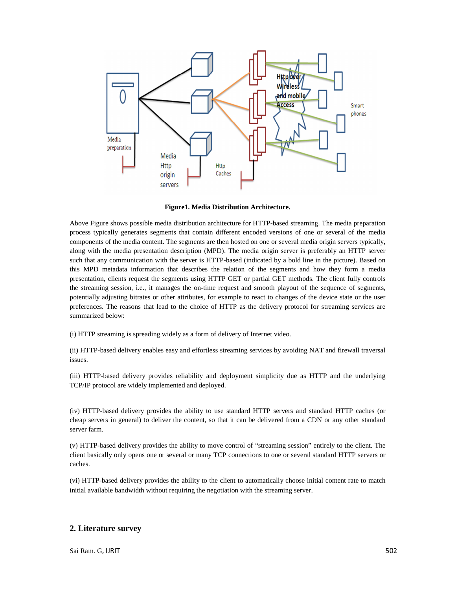

**Figure1. Media Distribution Architecture.** 

Above Figure shows possible media distribution architecture for HTTP-based streaming. The media preparation process typically generates segments that contain different encoded versions of one or several of the media components of the media content. The segments are then hosted on one or several media origin servers typically, along with the media presentation description (MPD). The media origin server is preferably an HTTP server such that any communication with the server is HTTP-based (indicated by a bold line in the picture). Based on this MPD metadata information that describes the relation of the segments and how they form a media presentation, clients request the segments using HTTP GET or partial GET methods. The client fully controls the streaming session, i.e., it manages the on-time request and smooth playout of the sequence of segments, potentially adjusting bitrates or other attributes, for example to react to changes of the device state or the user preferences. The reasons that lead to the choice of HTTP as the delivery protocol for streaming services are summarized below:

(i) HTTP streaming is spreading widely as a form of delivery of Internet video.

(ii) HTTP-based delivery enables easy and effortless streaming services by avoiding NAT and firewall traversal issues.

(iii) HTTP-based delivery provides reliability and deployment simplicity due as HTTP and the underlying TCP/IP protocol are widely implemented and deployed.

(iv) HTTP-based delivery provides the ability to use standard HTTP servers and standard HTTP caches (or cheap servers in general) to deliver the content, so that it can be delivered from a CDN or any other standard server farm.

(v) HTTP-based delivery provides the ability to move control of "streaming session" entirely to the client. The client basically only opens one or several or many TCP connections to one or several standard HTTP servers or caches.

(vi) HTTP-based delivery provides the ability to the client to automatically choose initial content rate to match initial available bandwidth without requiring the negotiation with the streaming server.

## **2. Literature survey**

Sai Ram. G. IJRIT 502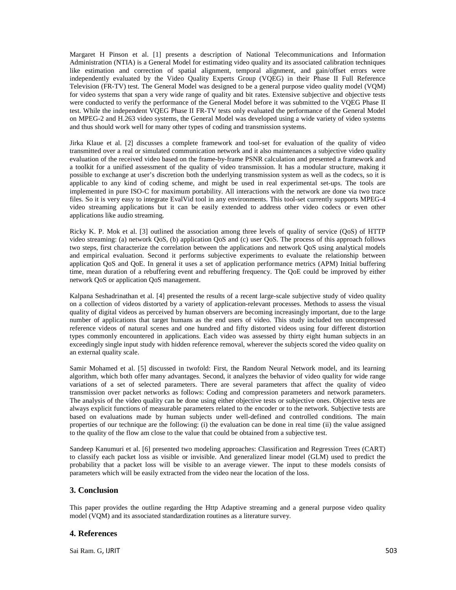Margaret H Pinson et al. [1] presents a description of National Telecommunications and Information Administration (NTIA) is a General Model for estimating video quality and its associated calibration techniques like estimation and correction of spatial alignment, temporal alignment, and gain/offset errors were independently evaluated by the Video Quality Experts Group (VQEG) in their Phase II Full Reference Television (FR-TV) test. The General Model was designed to be a general purpose video quality model (VQM) for video systems that span a very wide range of quality and bit rates. Extensive subjective and objective tests were conducted to verify the performance of the General Model before it was submitted to the VQEG Phase II test. While the independent VQEG Phase II FR-TV tests only evaluated the performance of the General Model on MPEG-2 and H.263 video systems, the General Model was developed using a wide variety of video systems and thus should work well for many other types of coding and transmission systems.

Jirka Klaue et al. [2] discusses a complete framework and tool-set for evaluation of the quality of video transmitted over a real or simulated communication network and it also maintenances a subjective video quality evaluation of the received video based on the frame-by-frame PSNR calculation and presented a framework and a toolkit for a unified assessment of the quality of video transmission. It has a modular structure, making it possible to exchange at user's discretion both the underlying transmission system as well as the codecs, so it is applicable to any kind of coding scheme, and might be used in real experimental set-ups. The tools are implemented in pure ISO-C for maximum portability. All interactions with the network are done via two trace files. So it is very easy to integrate EvalVid tool in any environments. This tool-set currently supports MPEG-4 video streaming applications but it can be easily extended to address other video codecs or even other applications like audio streaming.

Ricky K. P. Mok et al. [3] outlined the association among three levels of quality of service (QoS) of HTTP video streaming: (a) network QoS, (b) application QoS and (c) user QoS. The process of this approach follows two steps, first characterize the correlation between the applications and network QoS using analytical models and empirical evaluation. Second it performs subjective experiments to evaluate the relationship between application QoS and QoE. In general it uses a set of application performance metrics (APM) Initial buffering time, mean duration of a rebuffering event and rebuffering frequency. The QoE could be improved by either network QoS or application QoS management.

Kalpana Seshadrinathan et al. [4] presented the results of a recent large-scale subjective study of video quality on a collection of videos distorted by a variety of application-relevant processes. Methods to assess the visual quality of digital videos as perceived by human observers are becoming increasingly important, due to the large number of applications that target humans as the end users of video. This study included ten uncompressed reference videos of natural scenes and one hundred and fifty distorted videos using four different distortion types commonly encountered in applications. Each video was assessed by thirty eight human subjects in an exceedingly single input study with hidden reference removal, wherever the subjects scored the video quality on an external quality scale.

Samir Mohamed et al. [5] discussed in twofold: First, the Random Neural Network model, and its learning algorithm, which both offer many advantages. Second, it analyzes the behavior of video quality for wide range variations of a set of selected parameters. There are several parameters that affect the quality of video transmission over packet networks as follows: Coding and compression parameters and network parameters. The analysis of the video quality can be done using either objective tests or subjective ones. Objective tests are always explicit functions of measurable parameters related to the encoder or to the network. Subjective tests are based on evaluations made by human subjects under well-defined and controlled conditions. The main properties of our technique are the following: (i) the evaluation can be done in real time (ii) the value assigned to the quality of the flow am close to the value that could be obtained from a subjective test.

Sandeep Kanumuri et al. [6] presented two modeling approaches: Classification and Regression Trees (CART) to classify each packet loss as visible or invisible. And generalized linear model (GLM) used to predict the probability that a packet loss will be visible to an average viewer. The input to these models consists of parameters which will be easily extracted from the video near the location of the loss.

## **3. Conclusion**

This paper provides the outline regarding the Http Adaptive streaming and a general purpose video quality model (VQM) and its associated standardization routines as a literature survey.

#### **4. References**

Sai Ram. G, IJRIT 503